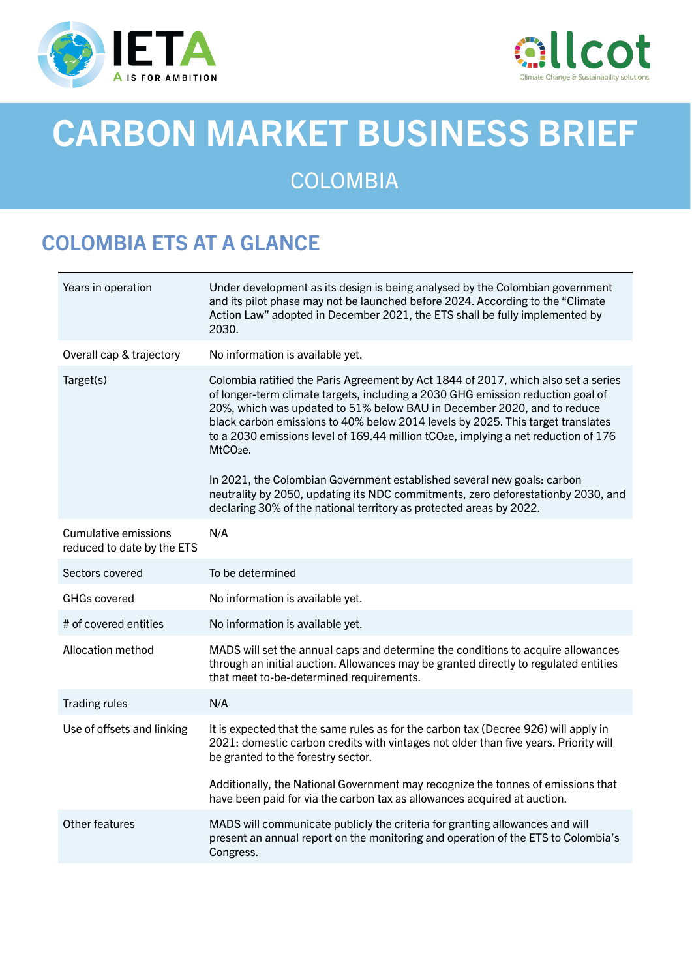



# CARBON MARKET BUSINESS BRIEF

# **COLOMBIA**

# COLOMBIA ETS AT A GLANCE

| Years in operation                                 | Under development as its design is being analysed by the Colombian government<br>and its pilot phase may not be launched before 2024. According to the "Climate<br>Action Law" adopted in December 2021, the ETS shall be fully implemented by<br>2030.                                                                                                                                                                                                        |
|----------------------------------------------------|----------------------------------------------------------------------------------------------------------------------------------------------------------------------------------------------------------------------------------------------------------------------------------------------------------------------------------------------------------------------------------------------------------------------------------------------------------------|
| Overall cap & trajectory                           | No information is available yet.                                                                                                                                                                                                                                                                                                                                                                                                                               |
| Target(s)                                          | Colombia ratified the Paris Agreement by Act 1844 of 2017, which also set a series<br>of longer-term climate targets, including a 2030 GHG emission reduction goal of<br>20%, which was updated to 51% below BAU in December 2020, and to reduce<br>black carbon emissions to 40% below 2014 levels by 2025. This target translates<br>to a 2030 emissions level of 169.44 million tCO <sub>2</sub> e, implying a net reduction of 176<br>MtCO <sub>2</sub> e. |
|                                                    | In 2021, the Colombian Government established several new goals: carbon<br>neutrality by 2050, updating its NDC commitments, zero deforestationby 2030, and<br>declaring 30% of the national territory as protected areas by 2022.                                                                                                                                                                                                                             |
| Cumulative emissions<br>reduced to date by the ETS | N/A                                                                                                                                                                                                                                                                                                                                                                                                                                                            |
| Sectors covered                                    | To be determined                                                                                                                                                                                                                                                                                                                                                                                                                                               |
| <b>GHGs covered</b>                                | No information is available yet.                                                                                                                                                                                                                                                                                                                                                                                                                               |
| # of covered entities                              | No information is available yet.                                                                                                                                                                                                                                                                                                                                                                                                                               |
| Allocation method                                  | MADS will set the annual caps and determine the conditions to acquire allowances<br>through an initial auction. Allowances may be granted directly to regulated entities<br>that meet to-be-determined requirements.                                                                                                                                                                                                                                           |
| <b>Trading rules</b>                               | N/A                                                                                                                                                                                                                                                                                                                                                                                                                                                            |
| Use of offsets and linking                         | It is expected that the same rules as for the carbon tax (Decree 926) will apply in<br>2021: domestic carbon credits with vintages not older than five years. Priority will<br>be granted to the forestry sector.                                                                                                                                                                                                                                              |
|                                                    | Additionally, the National Government may recognize the tonnes of emissions that<br>have been paid for via the carbon tax as allowances acquired at auction.                                                                                                                                                                                                                                                                                                   |
| Other features                                     | MADS will communicate publicly the criteria for granting allowances and will<br>present an annual report on the monitoring and operation of the ETS to Colombia's<br>Congress.                                                                                                                                                                                                                                                                                 |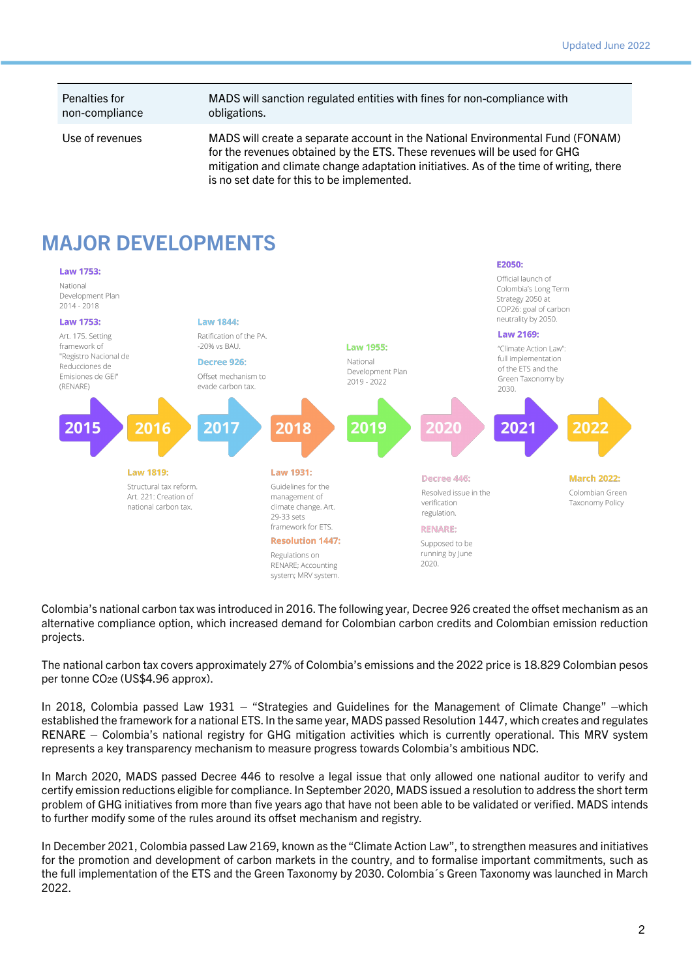Penalties for non-compliance

#### MADS will sanction regulated entities with fines for non-compliance with obligations.

Use of revenues MADS will create a separate account in the National Environmental Fund (FONAM) for the revenues obtained by the ETS. These revenues will be used for GHG mitigation and climate change adaptation initiatives. As of the time of writing, there is no set date for this to be implemented.

#### MAJOR DEVELOPMENTS



Colombia's national carbon tax was introduced in 2016. The following year, Decree 926 created the offset mechanism as an alternative compliance option, which increased demand for Colombian carbon credits and Colombian emission reduction projects.

The national carbon tax covers approximately 27% of Colombia's emissions and the 2022 price is 18.829 Colombian pesos per tonne CO2e (US\$4.96 approx).

In 2018, Colombia passed Law 1931 – "Strategies and Guidelines for the Management of Climate Change" –which established the framework for a national ETS. In the same year, MADS passed Resolution 1447, which creates and regulates RENARE – Colombia's national registry for GHG mitigation activities which is currently operational. This MRV system represents a key transparency mechanism to measure progress towards Colombia's ambitious NDC.

In March 2020, MADS passed Decree 446 to resolve a legal issue that only allowed one national auditor to verify and certify emission reductions eligible for compliance. In September 2020, MADS issued a resolution to address the short term problem of GHG initiatives from more than five years ago that have not been able to be validated or verified. MADS intends to further modify some of the rules around its offset mechanism and registry.

In December 2021, Colombia passed Law 2169, known as the "Climate Action Law", to strengthen measures and initiatives for the promotion and development of carbon markets in the country, and to formalise important commitments, such as the full implementation of the ETS and the Green Taxonomy by 2030. Colombia´s Green Taxonomy was launched in March 2022.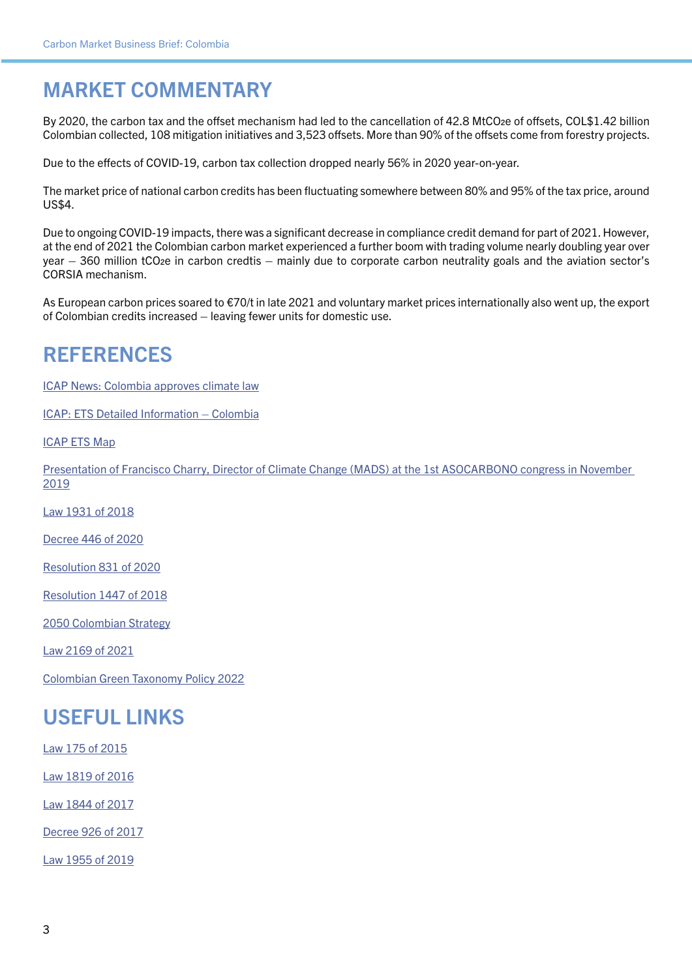## MARKET COMMENTARY

By 2020, the carbon tax and the offset mechanism had led to the cancellation of 42.8 MtCO2e of offsets, COL\$1.42 billion Colombian collected, 108 mitigation initiatives and 3,523 offsets. More than 90% of the offsets come from forestry projects.

Due to the effects of COVID-19, carbon tax collection dropped nearly 56% in 2020 year-on-year.

The market price of national carbon credits has been fluctuating somewhere between 80% and 95% of the tax price, around US\$4.

Due to ongoing COVID-19 impacts, there was a significant decrease in compliance credit demand for part of 2021. However, at the end of 2021 the Colombian carbon market experienced a further boom with trading volume nearly doubling year over year – 360 million tCO2e in carbon credtis – mainly due to corporate carbon neutrality goals and the aviation sector's CORSIA mechanism.

As European carbon prices soared to €70/t in late 2021 and voluntary market prices internationally also went up, the export of Colombian credits increased – leaving fewer units for domestic use.

#### REFERENCES

[ICAP News: Colombia approves climate law](https://icapcarbonaction.com/en/news-archive/561-colombia-approves-climate-law-with-provisions-for-a-national-program-of-greenhouse-gas-tradable-emission-quotas)

[ICAP: ETS Detailed Information – Colombia](https://icapcarbonaction.com/en/?option=com_etsmap&task=export&format=pdf&layout=list&systems%5b%5d=92)

[ICAP ETS Map](https://icapcarbonaction.com/en/ets-map)

[Presentation of Francisco Charry, Director of Climate Change \(MADS\) at the 1st ASOCARBONO congress in November](https://asocarbono.org/wp-content/uploads/2019/12/5-Francisco-Charry-Ministerio-de-Ambiente-y-Desarrollo-Sostenible.pdf)  [2019](https://asocarbono.org/wp-content/uploads/2019/12/5-Francisco-Charry-Ministerio-de-Ambiente-y-Desarrollo-Sostenible.pdf)

[Law 1931 of 2018](https://dapre.presidencia.gov.co/normativa/normativa/LEY 1931 DEL 27 DE JULIO DE 2018.pdf)

[Decree 446 of 2020](https://dapre.presidencia.gov.co/normativa/normativa/DECRETO 446 DEL 21 DE MARZO DE 2020.pdf)

[Resolution 831 of 2020](https://www.minambiente.gov.co/images/Res_0831_de_2020_-_MODIFICA_RESOLUCION_1447.pdf)

[Resolution 1447 of 2018](https://www.minambiente.gov.co/images/normativa/app/resoluciones/98-RES 1447 DE 2018.pdf)

[2050 Colombian Strategy](https://www.minambiente.gov.co/cambio-climatico-y-gestion-del-riesgo/estrategia-2050/)

[Law 2169 of 2021](https://dapre.presidencia.gov.co/normativa/normativa/LEY 2169 DEL 22 DE DICIEMBRE DE 2021.pdf)

[Colombian Green Taxonomy Policy 2022](https://media-exp1.licdn.com/dms/document/C4E1FAQHVh7LMP4htyg/feedshare-document-pdf-analyzed/0/1650459089553?e=2147483647&v=beta&t=25enzS2FV52E8Vd_3MPMDGKzTwanJkU6b2q8Er6BO7s)

### USEFUL LINKS

[Law 175 of 2015](https://www.mintic.gov.co/portal/604/articles-15015_documento.pdf)

[Law 1819 of 2016](http://es.presidencia.gov.co/normativa/normativa/LEY 1819 DEL 29 DE DICIEMBRE DE 2016.pdf)

[Law 1844 of 2017](https://dapre.presidencia.gov.co/normativa/normativa/LEY 1844 DEL 14 DE JULIO DE 2017.pdf)

[Decree 926 of 2017](http://es.presidencia.gov.co/normativa/normativa/DECRETO 926 DEL 01 DE JUNIO DE 2017.pdf)

[Law 1955 of 2019](https://www.minsalud.gov.co/Normatividad_Nuevo/Ley 1955 de 2019.pdf)